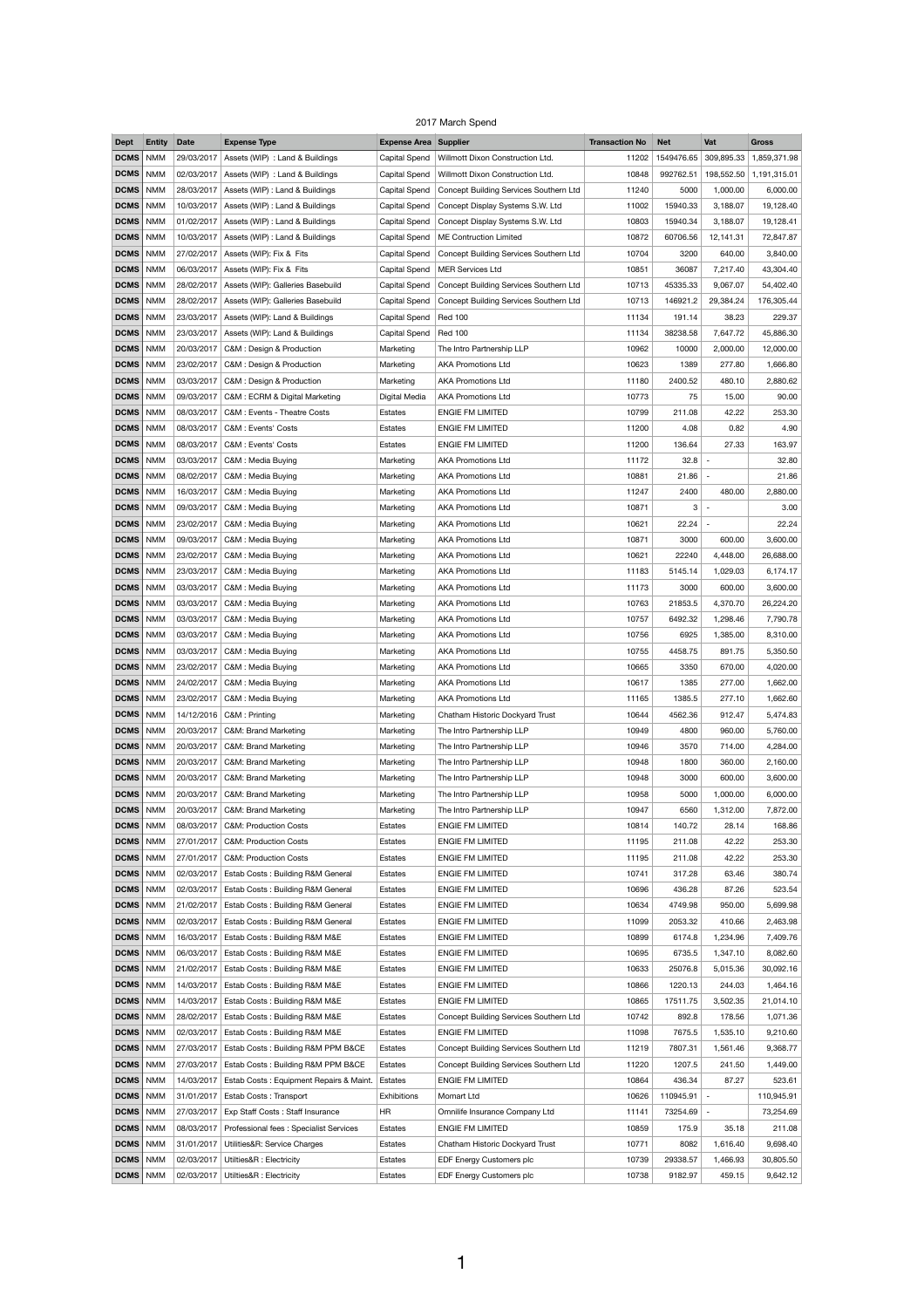## 2017 March Spend

| <b>Dept</b>       | <b>Entity</b> | <b>Date</b> | <b>Expense Type</b>                          | <b>Expense Area Supplier</b> |                                               | <b>Transaction No</b> | <b>Net</b> | Vat                      | <b>Gross</b> |
|-------------------|---------------|-------------|----------------------------------------------|------------------------------|-----------------------------------------------|-----------------------|------------|--------------------------|--------------|
| <b>DCMS</b>       | <b>NMM</b>    | 29/03/2017  | Assets (WIP) : Land & Buildings              | Capital Spend                | Willmott Dixon Construction Ltd.              | 11202                 | 1549476.65 | 309,895.33               | 1,859,371.98 |
| DCMS              | <b>NMM</b>    | 02/03/2017  | Assets (WIP) : Land & Buildings              | Capital Spend                | Willmott Dixon Construction Ltd.              | 10848                 | 992762.51  | 198,552.50               | 1,191,315.01 |
| DCMS   NMM        |               | 28/03/2017  | Assets (WIP) : Land & Buildings              | Capital Spend                | Concept Building Services Southern Ltd        | 11240                 | 5000       | 1,000.00                 | 6,000.00     |
| DCMS              | <b>NMM</b>    | 10/03/2017  | Assets (WIP) : Land & Buildings              | Capital Spend                | Concept Display Systems S.W. Ltd              | 11002                 | 15940.33   | 3,188.07                 | 19,128.40    |
| DCMS              | <b>NMM</b>    | 01/02/2017  | Assets (WIP) : Land & Buildings              | Capital Spend                | Concept Display Systems S.W. Ltd              | 10803                 | 15940.34   | 3,188.07                 | 19,128.41    |
| DCMS   NMM        |               | 10/03/2017  | Assets (WIP) : Land & Buildings              | Capital Spend                | <b>ME Contruction Limited</b>                 | 10872                 | 60706.56   | 12,141.31                | 72,847.87    |
| <b>DCMS</b>   NMM |               | 27/02/2017  | Assets (WIP): Fix & Fits                     | Capital Spend                | <b>Concept Building Services Southern Ltd</b> | 10704                 | 3200       | 640.00                   | 3,840.00     |
| DCMS              | <b>NMM</b>    | 06/03/2017  | Assets (WIP): Fix & Fits                     | Capital Spend                | <b>MER Services Ltd</b>                       | 10851                 | 36087      | 7,217.40                 | 43,304.40    |
| DCMS   NMM        |               | 28/02/2017  | Assets (WIP): Galleries Basebuild            | Capital Spend                | <b>Concept Building Services Southern Ltd</b> | 10713                 | 45335.33   | 9,067.07                 | 54,402.40    |
| DCMS   NMM        |               | 28/02/2017  | Assets (WIP): Galleries Basebuild            | Capital Spend                | <b>Concept Building Services Southern Ltd</b> | 10713                 | 146921.2   | 29,384.24                | 176,305.44   |
| DCMS              | <b>NMM</b>    | 23/03/2017  | Assets (WIP): Land & Buildings               | Capital Spend                | <b>Red 100</b>                                | 11134                 | 191.14     | 38.23                    | 229.37       |
| DCMS   NMM        |               | 23/03/2017  | Assets (WIP): Land & Buildings               | Capital Spend                | <b>Red 100</b>                                | 11134                 | 38238.58   | 7,647.72                 | 45,886.30    |
| <b>DCMS</b>   NMM |               | 20/03/2017  | C&M: Design & Production                     | Marketing                    | The Intro Partnership LLP                     | 10962                 | 10000      | 2,000.00                 | 12,000.00    |
| DCMS              | <b>NMM</b>    | 23/02/2017  | C&M : Design & Production                    | Marketing                    | <b>AKA Promotions Ltd</b>                     | 10623                 | 1389       | 277.80                   | 1,666.80     |
| DCMS   NMM        |               | 03/03/2017  | C&M : Design & Production                    | Marketing                    | <b>AKA Promotions Ltd</b>                     | 11180                 | 2400.52    | 480.10                   | 2,880.62     |
| <b>DCMS</b>   NMM |               | 09/03/2017  | C&M: ECRM & Digital Marketing                | Digital Media                | <b>AKA Promotions Ltd</b>                     | 10773                 | 75         | 15.00                    | 90.00        |
| DCMS              | <b>NMM</b>    | 08/03/2017  | C&M : Events - Theatre Costs                 |                              | <b>ENGIE FM LIMITED</b>                       | 10799                 | 211.08     | 42.22                    | 253.30       |
|                   |               |             |                                              | Estates                      |                                               |                       |            |                          |              |
| DCMS              | <b>NMM</b>    | 08/03/2017  | C&M : Events' Costs                          | Estates                      | <b>ENGIE FM LIMITED</b>                       | 11200                 | 4.08       | 0.82                     | 4.90         |
| DCMS   NMM        |               | 08/03/2017  | C&M : Events' Costs                          | <b>Estates</b>               | <b>ENGIE FM LIMITED</b>                       | 11200                 | 136.64     | 27.33                    | 163.97       |
| DCMS              | <b>NMM</b>    | 03/03/2017  | C&M: Media Buying                            | Marketing                    | <b>AKA Promotions Ltd</b>                     | 11172                 | $32.8$ -   |                          | 32.80        |
| DCMS              | <b>NMM</b>    | 08/02/2017  | C&M : Media Buying                           | Marketing                    | <b>AKA Promotions Ltd</b>                     | 10881                 | 21.86      | $\sim$                   | 21.86        |
| <b>DCMS</b>   NMM |               | 16/03/2017  | C&M: Media Buying                            | Marketing                    | <b>AKA Promotions Ltd</b>                     | 11247                 | 2400       | 480.00                   | 2,880.00     |
| DCMS   NMM        |               | 09/03/2017  | C&M : Media Buying                           | Marketing                    | <b>AKA Promotions Ltd</b>                     | 10871                 | 3          | $\sim$                   | 3.00         |
| DCMS              | <b>NMM</b>    | 23/02/2017  | C&M : Media Buying                           | Marketing                    | <b>AKA Promotions Ltd</b>                     | 10621                 | $22.24$ -  |                          | 22.24        |
| <b>DCMS</b>   NMM |               | 09/03/2017  | C&M : Media Buying                           | Marketing                    | <b>AKA Promotions Ltd</b>                     | 10871                 | 3000       | 600.00                   | 3,600.00     |
| DCMS   NMM        |               | 23/02/2017  | C&M: Media Buying                            | Marketing                    | <b>AKA Promotions Ltd</b>                     | 10621                 | 22240      | 4,448.00                 | 26,688.00    |
| DCMS              | <b>NMM</b>    | 23/03/2017  | C&M : Media Buying                           | Marketing                    | <b>AKA Promotions Ltd</b>                     | 11183                 | 5145.14    | 1,029.03                 | 6,174.17     |
| <b>DCMS</b>   NMM |               | 03/03/2017  | C&M: Media Buying                            | Marketing                    | <b>AKA Promotions Ltd</b>                     | 11173                 | 3000       | 600.00                   | 3,600.00     |
| DCMS   NMM        |               | 03/03/2017  | C&M: Media Buying                            | Marketing                    | <b>AKA Promotions Ltd</b>                     | 10763                 | 21853.5    | 4,370.70                 | 26,224.20    |
| <b>DCMS</b>   NMM |               | 03/03/2017  | C&M : Media Buying                           | Marketing                    | <b>AKA Promotions Ltd</b>                     | 10757                 | 6492.32    | 1,298.46                 | 7,790.78     |
| <b>DCMS</b>   NMM |               | 03/03/2017  | C&M: Media Buying                            | Marketing                    | <b>AKA Promotions Ltd</b>                     | 10756                 | 6925       | 1,385.00                 | 8,310.00     |
| DCMS   NMM        |               | 03/03/2017  | C&M: Media Buying                            | Marketing                    | <b>AKA Promotions Ltd</b>                     | 10755                 | 4458.75    | 891.75                   | 5,350.50     |
| <b>DCMS</b>   NMM |               | 23/02/2017  | C&M : Media Buying                           | Marketing                    | <b>AKA Promotions Ltd</b>                     | 10665                 | 3350       | 670.00                   | 4,020.00     |
| DCMS              | <b>NMM</b>    | 24/02/2017  | C&M : Media Buying                           | Marketing                    | <b>AKA Promotions Ltd</b>                     | 10617                 | 1385       | 277.00                   | 1,662.00     |
| DCMS   NMM        |               | 23/02/2017  | C&M: Media Buying                            | Marketing                    | <b>AKA Promotions Ltd</b>                     | 11165                 | 1385.5     | 277.10                   | 1,662.60     |
| <b>DCMS</b>   NMM |               | 14/12/2016  | C&M : Printing                               | Marketing                    | Chatham Historic Dockyard Trust               | 10644                 | 4562.36    | 912.47                   | 5,474.83     |
| DCMS              | <b>NMM</b>    | 20/03/2017  | C&M: Brand Marketing                         | Marketing                    | The Intro Partnership LLP                     | 10949                 | 4800       | 960.00                   | 5,760.00     |
| DCMS   NMM        |               | 20/03/2017  | <b>C&amp;M: Brand Marketing</b>              | Marketing                    | The Intro Partnership LLP                     | 10946                 | 3570       | 714.00                   | 4,284.00     |
| <b>DCMS</b>   NMM |               | 20/03/2017  | <b>C&amp;M: Brand Marketing</b>              | Marketing                    | The Intro Partnership LLP                     | 10948                 | 1800       | 360.00                   | 2,160.00     |
| DCMS              | <b>NMM</b>    | 20/03/2017  | C&M: Brand Marketing                         | Marketing                    | The Intro Partnership LLP                     | 10948                 | 3000       | 600.00                   | 3,600.00     |
| DCMS   NMM        |               | 20/03/2017  | <b>C&amp;M: Brand Marketing</b>              | Marketing                    | The Intro Partnership LLP                     | 10958                 | 5000       | 1,000.00                 | 6,000.00     |
| <b>DCMS</b>   NMM |               | 20/03/2017  | C&M: Brand Marketing                         | Marketing                    | The Intro Partnership LLP                     | 10947                 | 6560       | 1,312.00                 | 7,872.00     |
| DCMS              | <b>NMM</b>    | 08/03/2017  | <b>C&amp;M: Production Costs</b>             | Estates                      | <b>ENGIE FM LIMITED</b>                       | 10814                 | 140.72     | 28.14                    | 168.86       |
| <b>DCMS</b>   NMM |               |             | 27/01/2017   C&M: Production Costs           | <b>Estates</b>               | <b>ENGIE FM LIMITED</b>                       | 11195                 | 211.08     | 42.22                    | 253.30       |
| <b>DCMS</b> NMM   |               | 27/01/2017  | <b>C&amp;M: Production Costs</b>             | <b>Estates</b>               | <b>ENGIE FM LIMITED</b>                       | 11195                 | 211.08     | 42.22                    | 253.30       |
| DCMS   NMM        |               | 02/03/2017  | <b>Estab Costs: Building R&amp;M General</b> | Estates                      | <b>ENGIE FM LIMITED</b>                       | 10741                 | 317.28     | 63.46                    | 380.74       |
| DCMS              | <b>NMM</b>    | 02/03/2017  | Estab Costs: Building R&M General            | Estates                      | <b>ENGIE FM LIMITED</b>                       | 10696                 | 436.28     | 87.26                    | 523.54       |
| DCMS              | <b>NMM</b>    | 21/02/2017  | Estab Costs: Building R&M General            | <b>Estates</b>               | <b>ENGIE FM LIMITED</b>                       | 10634                 | 4749.98    | 950.00                   | 5,699.98     |
| DCMS   NMM        |               | 02/03/2017  | Estab Costs: Building R&M General            | Estates                      | <b>ENGIE FM LIMITED</b>                       | 11099                 | 2053.32    | 410.66                   | 2,463.98     |
| DCMS              | <b>NMM</b>    | 16/03/2017  | Estab Costs: Building R&M M&E                | Estates                      | <b>ENGIE FM LIMITED</b>                       | 10899                 | 6174.8     | 1,234.96                 | 7,409.76     |
| <b>DCMS</b>   NMM |               | 06/03/2017  | Estab Costs: Building R&M M&E                |                              | <b>ENGIE FM LIMITED</b>                       | 10695                 | 6735.5     | 1,347.10                 | 8,082.60     |
|                   |               |             |                                              | <b>Estates</b>               |                                               |                       |            |                          |              |
| DCMS   NMM        |               | 21/02/2017  | Estab Costs: Building R&M M&E                | Estates                      | <b>ENGIE FM LIMITED</b>                       | 10633                 | 25076.8    | 5,015.36                 | 30,092.16    |
| DCMS              | <b>NMM</b>    | 14/03/2017  | Estab Costs: Building R&M M&E                | <b>Estates</b>               | <b>ENGIE FM LIMITED</b>                       | 10866                 | 1220.13    | 244.03                   | 1,464.16     |
| <b>DCMS</b>   NMM |               | 14/03/2017  | Estab Costs: Building R&M M&E                | <b>Estates</b>               | <b>ENGIE FM LIMITED</b>                       | 10865                 | 17511.75   | 3,502.35                 | 21,014.10    |
| DCMS   NMM        |               | 28/02/2017  | Estab Costs: Building R&M M&E                | Estates                      | Concept Building Services Southern Ltd        | 10742                 | 892.8      | 178.56                   | 1,071.36     |
| DCMS              | <b>NMM</b>    | 02/03/2017  | Estab Costs: Building R&M M&E                | Estates                      | <b>ENGIE FM LIMITED</b>                       | 11098                 | 7675.5     | 1,535.10                 | 9,210.60     |
| DCMS              | <b>NMM</b>    | 27/03/2017  | Estab Costs: Building R&M PPM B&CE           | Estates                      | Concept Building Services Southern Ltd        | 11219                 | 7807.31    | 1,561.46                 | 9,368.77     |
| DCMS   NMM        |               | 27/03/2017  | Estab Costs: Building R&M PPM B&CE           | Estates                      | Concept Building Services Southern Ltd        | 11220                 | 1207.5     | 241.50                   | 1,449.00     |
| DCMS              | <b>NMM</b>    | 14/03/2017  | Estab Costs: Equipment Repairs & Maint.      | Estates                      | <b>ENGIE FM LIMITED</b>                       | 10864                 | 436.34     | 87.27                    | 523.61       |
| DCMS              | <b>NMM</b>    | 31/01/2017  | Estab Costs: Transport                       | <b>Exhibitions</b>           | Momart Ltd                                    | 10626                 | 110945.91  | $\overline{\phantom{a}}$ | 110,945.91   |
| DCMS   NMM        |               | 27/03/2017  | Exp Staff Costs: Staff Insurance             | <b>HR</b>                    | Omnilife Insurance Company Ltd                | 11141                 | 73254.69   | $\sim$                   | 73,254.69    |
| DCMS              | <b>NMM</b>    | 08/03/2017  | Professional fees : Specialist Services      | Estates                      | <b>ENGIE FM LIMITED</b>                       | 10859                 | 175.9      | 35.18                    | 211.08       |
| DCMS              | <b>NMM</b>    | 31/01/2017  | Utilities&R: Service Charges                 | Estates                      | Chatham Historic Dockyard Trust               | 10771                 | 8082       | 1,616.40                 | 9,698.40     |
| <b>DCMS</b>   NMM |               | 02/03/2017  | Utilties&R : Electricity                     | Estates                      | EDF Energy Customers plc                      | 10739                 | 29338.57   | 1,466.93                 | 30,805.50    |
| DCMS   NMM        |               |             | 02/03/2017   Utilties&R : Electricity        | Estates                      | EDF Energy Customers plc                      | 10738                 | 9182.97    | 459.15                   | 9,642.12     |